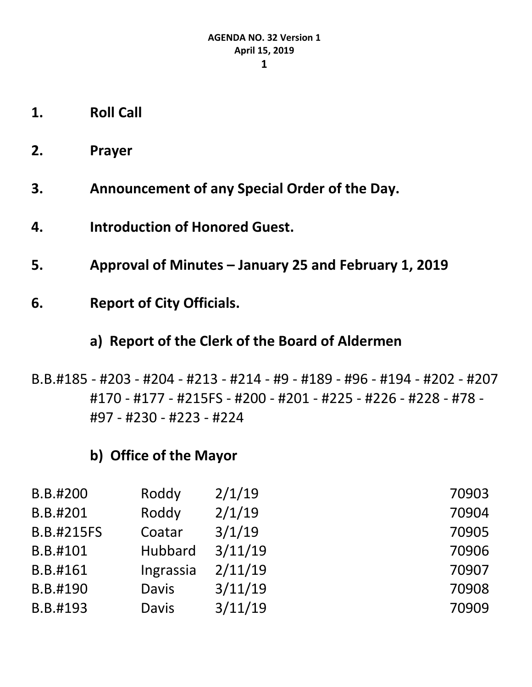- **2. Prayer**
- **3. Announcement of any Special Order of the Day.**
- **4. Introduction of Honored Guest.**
- **5. Approval of Minutes – January 25 and February 1, 2019**
- **6. Report of City Officials.**

## **a) Report of the Clerk of the Board of Aldermen**

B.B.#185 - #203 - #204 - #213 - #214 - #9 - #189 - #96 - #194 - #202 - #207 #170 - #177 - #215FS - #200 - #201 - #225 - #226 - #228 - #78 - #97 - #230 - #223 - #224

## **b) Office of the Mayor**

| B.B.#200          | Roddy        | 2/1/19  | 70903 |
|-------------------|--------------|---------|-------|
| B.B.#201          | Roddy        | 2/1/19  | 70904 |
| <b>B.B.#215FS</b> | Coatar       | 3/1/19  | 70905 |
| B.B.#101          | Hubbard      | 3/11/19 | 70906 |
| B.B.#161          | Ingrassia    | 2/11/19 | 70907 |
| B.B.#190          | <b>Davis</b> | 3/11/19 | 70908 |
| B.B.#193          | <b>Davis</b> | 3/11/19 | 70909 |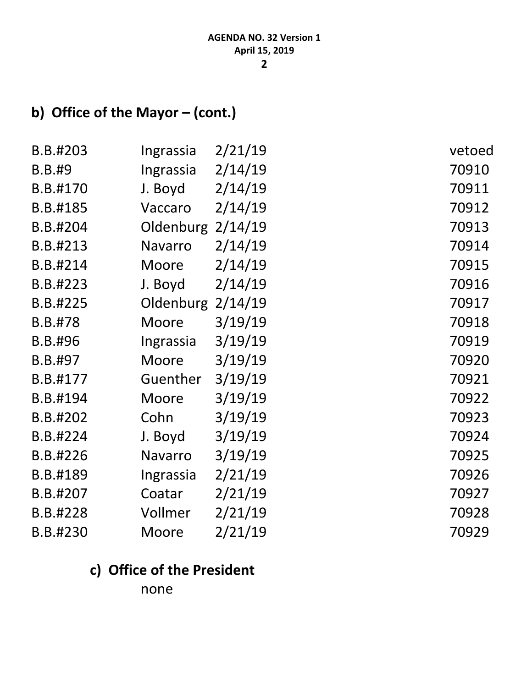# **b) Office of the Mayor – (cont.)**

| B.B.#203       | Ingrassia      | 2/21/19 | vetoed |
|----------------|----------------|---------|--------|
| <b>B.B.#9</b>  | Ingrassia      | 2/14/19 | 70910  |
| B.B.#170       | J. Boyd        | 2/14/19 | 70911  |
| B.B.#185       | Vaccaro        | 2/14/19 | 70912  |
| B.B.#204       | Oldenburg      | 2/14/19 | 70913  |
| B.B.#213       | <b>Navarro</b> | 2/14/19 | 70914  |
| B.B.#214       | Moore          | 2/14/19 | 70915  |
| B.B.#223       | J. Boyd        | 2/14/19 | 70916  |
| B.B.#225       | Oldenburg      | 2/14/19 | 70917  |
| <b>B.B.#78</b> | Moore          | 3/19/19 | 70918  |
| B.B.#96        | Ingrassia      | 3/19/19 | 70919  |
| B.B.#97        | Moore          | 3/19/19 | 70920  |
| B.B.#177       | Guenther       | 3/19/19 | 70921  |
| B.B.#194       | Moore          | 3/19/19 | 70922  |
| B.B.#202       | Cohn           | 3/19/19 | 70923  |
| B.B.#224       | J. Boyd        | 3/19/19 | 70924  |
| B.B.#226       | Navarro        | 3/19/19 | 70925  |
| B.B.#189       | Ingrassia      | 2/21/19 | 70926  |
| B.B.#207       | Coatar         | 2/21/19 | 70927  |
| B.B.#228       | Vollmer        | 2/21/19 | 70928  |
| B.B.#230       | Moore          | 2/21/19 | 70929  |

## **c) Office of the President**

none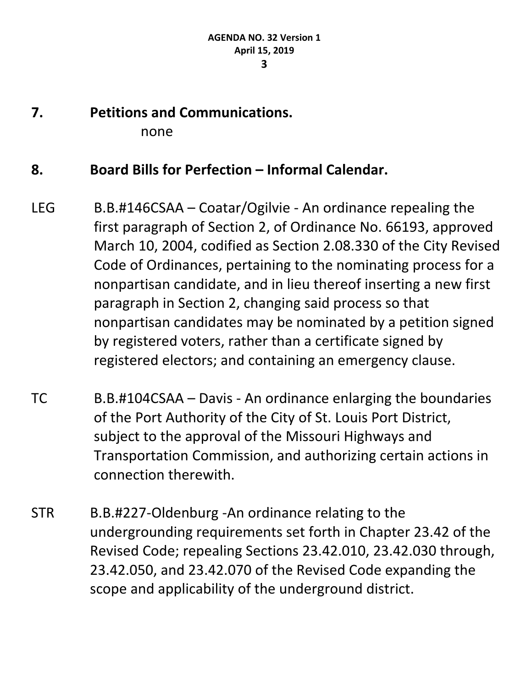- 
- **7. Petitions and Communications.** none

### **8. Board Bills for Perfection – Informal Calendar.**

- LEG B.B.#146CSAA Coatar/Ogilvie An ordinance repealing the first paragraph of Section 2, of Ordinance No. 66193, approved March 10, 2004, codified as Section 2.08.330 of the City Revised Code of Ordinances, pertaining to the nominating process for a nonpartisan candidate, and in lieu thereof inserting a new first paragraph in Section 2, changing said process so that nonpartisan candidates may be nominated by a petition signed by registered voters, rather than a certificate signed by registered electors; and containing an emergency clause.
- TC B.B.#104CSAA Davis An ordinance enlarging the boundaries of the Port Authority of the City of St. Louis Port District, subject to the approval of the Missouri Highways and Transportation Commission, and authorizing certain actions in connection therewith.
- STR B.B.#227-Oldenburg -An ordinance relating to the undergrounding requirements set forth in Chapter 23.42 of the Revised Code; repealing Sections 23.42.010, 23.42.030 through, 23.42.050, and 23.42.070 of the Revised Code expanding the scope and applicability of the underground district.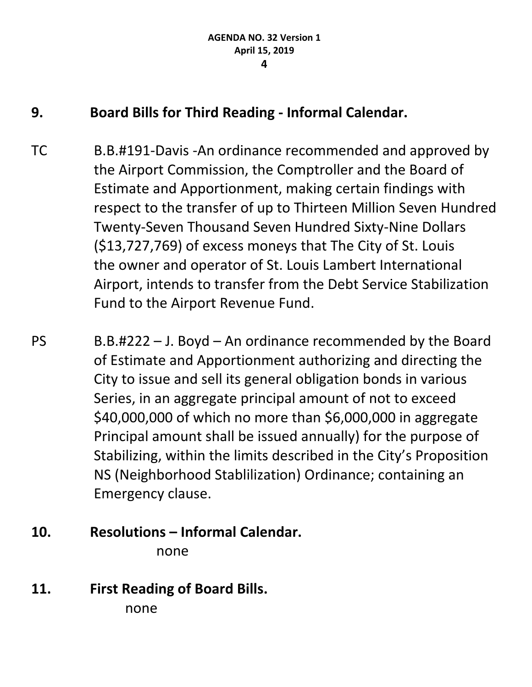### **9. Board Bills for Third Reading - Informal Calendar.**

- TC B.B.#191-Davis -An ordinance recommended and approved by the Airport Commission, the Comptroller and the Board of Estimate and Apportionment, making certain findings with respect to the transfer of up to Thirteen Million Seven Hundred Twenty-Seven Thousand Seven Hundred Sixty-Nine Dollars (\$13,727,769) of excess moneys that The City of St. Louis the owner and operator of St. Louis Lambert International Airport, intends to transfer from the Debt Service Stabilization Fund to the Airport Revenue Fund.
- PS B.B.#222 J. Boyd An ordinance recommended by the Board of Estimate and Apportionment authorizing and directing the City to issue and sell its general obligation bonds in various Series, in an aggregate principal amount of not to exceed \$40,000,000 of which no more than \$6,000,000 in aggregate Principal amount shall be issued annually) for the purpose of Stabilizing, within the limits described in the City's Proposition NS (Neighborhood Stablilization) Ordinance; containing an Emergency clause.
- **10. Resolutions – Informal Calendar.** none
- **11. First Reading of Board Bills.** none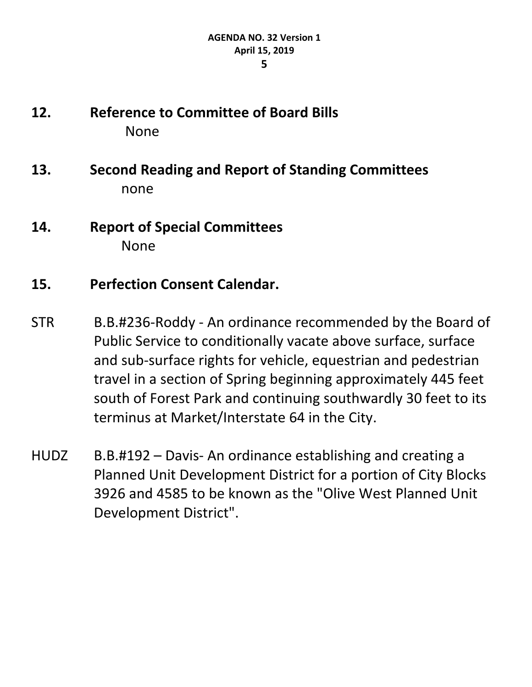- **12. Reference to Committee of Board Bills** None
- **13. Second Reading and Report of Standing Committees**  none
- **14. Report of Special Committees** None

### **15. Perfection Consent Calendar.**

- STR B.B.#236-Roddy An ordinance recommended by the Board of Public Service to conditionally vacate above surface, surface and sub-surface rights for vehicle, equestrian and pedestrian travel in a section of Spring beginning approximately 445 feet south of Forest Park and continuing southwardly 30 feet to its terminus at Market/Interstate 64 in the City.
- HUDZ B.B.#192 Davis- An ordinance establishing and creating a Planned Unit Development District for a portion of City Blocks 3926 and 4585 to be known as the "Olive West Planned Unit Development District".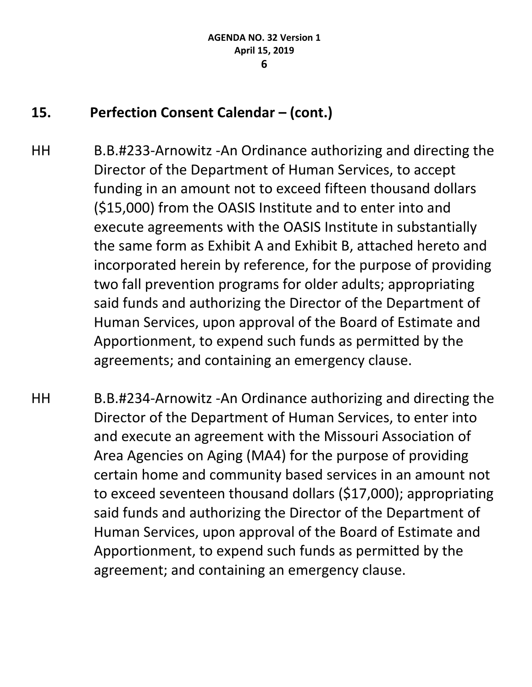## **15. Perfection Consent Calendar – (cont.)**

- HH B.B.#233-Arnowitz -An Ordinance authorizing and directing the Director of the Department of Human Services, to accept funding in an amount not to exceed fifteen thousand dollars (\$15,000) from the OASIS Institute and to enter into and execute agreements with the OASIS Institute in substantially the same form as Exhibit A and Exhibit B, attached hereto and incorporated herein by reference, for the purpose of providing two fall prevention programs for older adults; appropriating said funds and authorizing the Director of the Department of Human Services, upon approval of the Board of Estimate and Apportionment, to expend such funds as permitted by the agreements; and containing an emergency clause.
- HH B.B.#234-Arnowitz -An Ordinance authorizing and directing the Director of the Department of Human Services, to enter into and execute an agreement with the Missouri Association of Area Agencies on Aging (MA4) for the purpose of providing certain home and community based services in an amount not to exceed seventeen thousand dollars (\$17,000); appropriating said funds and authorizing the Director of the Department of Human Services, upon approval of the Board of Estimate and Apportionment, to expend such funds as permitted by the agreement; and containing an emergency clause.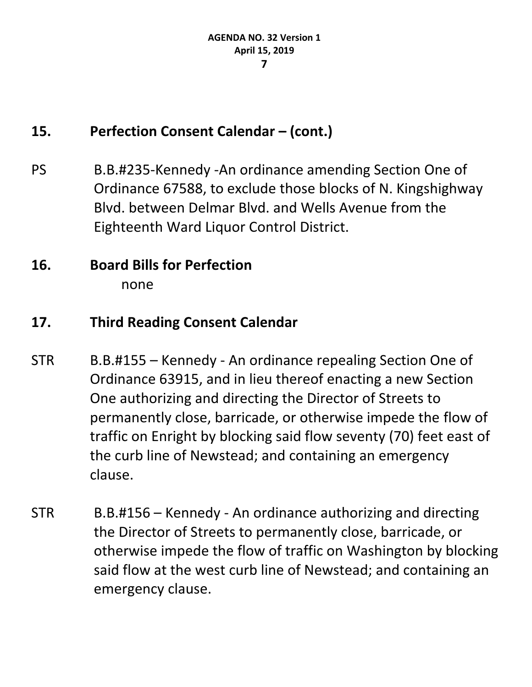### **15. Perfection Consent Calendar – (cont.)**

PS B.B.#235-Kennedy -An ordinance amending Section One of Ordinance 67588, to exclude those blocks of N. Kingshighway Blvd. between Delmar Blvd. and Wells Avenue from the Eighteenth Ward Liquor Control District.

## **16. Board Bills for Perfection** none

## **17. Third Reading Consent Calendar**

- STR B.B.#155 Kennedy An ordinance repealing Section One of Ordinance 63915, and in lieu thereof enacting a new Section One authorizing and directing the Director of Streets to permanently close, barricade, or otherwise impede the flow of traffic on Enright by blocking said flow seventy (70) feet east of the curb line of Newstead; and containing an emergency clause.
- STR B.B.#156 Kennedy An ordinance authorizing and directing the Director of Streets to permanently close, barricade, or otherwise impede the flow of traffic on Washington by blocking said flow at the west curb line of Newstead; and containing an emergency clause.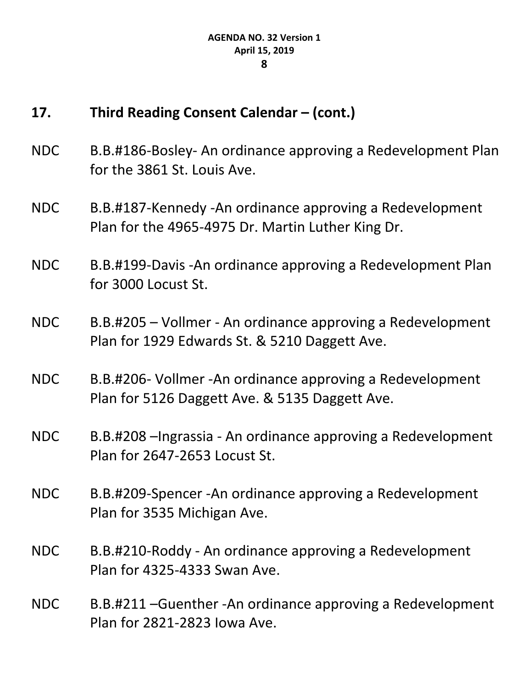- NDC B.B.#186-Bosley- An ordinance approving a Redevelopment Plan for the 3861 St. Louis Ave.
- NDC B.B.#187-Kennedy -An ordinance approving a Redevelopment Plan for the 4965-4975 Dr. Martin Luther King Dr.
- NDC B.B.#199-Davis -An ordinance approving a Redevelopment Plan for 3000 Locust St.
- NDC B.B.#205 Vollmer An ordinance approving a Redevelopment Plan for 1929 Edwards St. & 5210 Daggett Ave.
- NDC B.B.#206- Vollmer -An ordinance approving a Redevelopment Plan for 5126 Daggett Ave. & 5135 Daggett Ave.
- NDC B.B.#208 –Ingrassia An ordinance approving a Redevelopment Plan for 2647-2653 Locust St.
- NDC B.B.#209-Spencer -An ordinance approving a Redevelopment Plan for 3535 Michigan Ave.
- NDC B.B.#210-Roddy An ordinance approving a Redevelopment Plan for 4325-4333 Swan Ave.
- NDC B.B.#211 –Guenther -An ordinance approving a Redevelopment Plan for 2821-2823 Iowa Ave.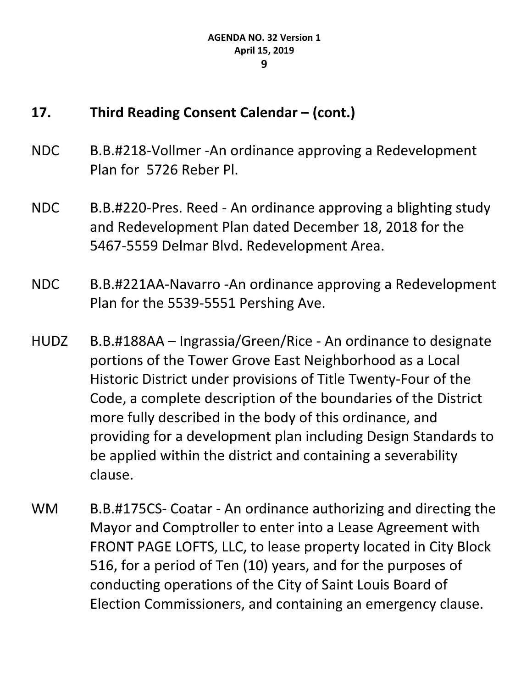- NDC B.B.#218-Vollmer -An ordinance approving a Redevelopment Plan for 5726 Reber Pl.
- NDC B.B.#220-Pres. Reed An ordinance approving a blighting study and Redevelopment Plan dated December 18, 2018 for the 5467-5559 Delmar Blvd. Redevelopment Area.
- NDC B.B.#221AA-Navarro -An ordinance approving a Redevelopment Plan for the 5539-5551 Pershing Ave.
- HUDZ B.B.#188AA Ingrassia/Green/Rice An ordinance to designate portions of the Tower Grove East Neighborhood as a Local Historic District under provisions of Title Twenty-Four of the Code, a complete description of the boundaries of the District more fully described in the body of this ordinance, and providing for a development plan including Design Standards to be applied within the district and containing a severability clause.
- WM B.B.#175CS- Coatar An ordinance authorizing and directing the Mayor and Comptroller to enter into a Lease Agreement with FRONT PAGE LOFTS, LLC, to lease property located in City Block 516, for a period of Ten (10) years, and for the purposes of conducting operations of the City of Saint Louis Board of Election Commissioners, and containing an emergency clause.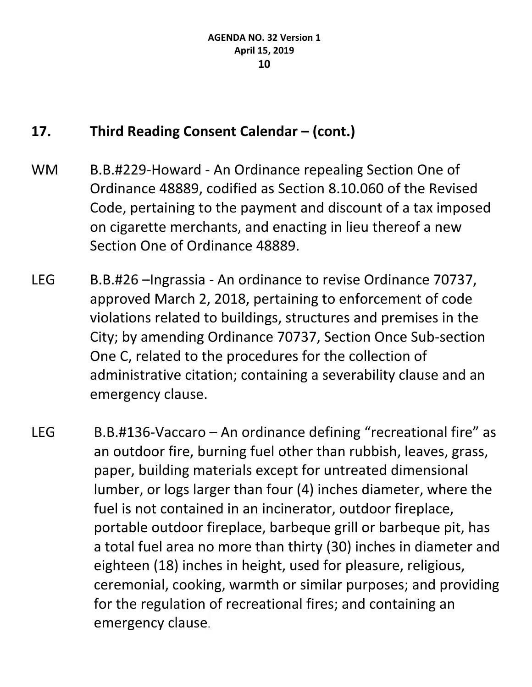- WM B.B.#229-Howard An Ordinance repealing Section One of Ordinance 48889, codified as Section 8.10.060 of the Revised Code, pertaining to the payment and discount of a tax imposed on cigarette merchants, and enacting in lieu thereof a new Section One of Ordinance 48889.
- LEG B.B.#26 –Ingrassia An ordinance to revise Ordinance 70737, approved March 2, 2018, pertaining to enforcement of code violations related to buildings, structures and premises in the City; by amending Ordinance 70737, Section Once Sub-section One C, related to the procedures for the collection of administrative citation; containing a severability clause and an emergency clause.
- LEG B.B.#136-Vaccaro An ordinance defining "recreational fire" as an outdoor fire, burning fuel other than rubbish, leaves, grass, paper, building materials except for untreated dimensional lumber, or logs larger than four (4) inches diameter, where the fuel is not contained in an incinerator, outdoor fireplace, portable outdoor fireplace, barbeque grill or barbeque pit, has a total fuel area no more than thirty (30) inches in diameter and eighteen (18) inches in height, used for pleasure, religious, ceremonial, cooking, warmth or similar purposes; and providing for the regulation of recreational fires; and containing an emergency clause.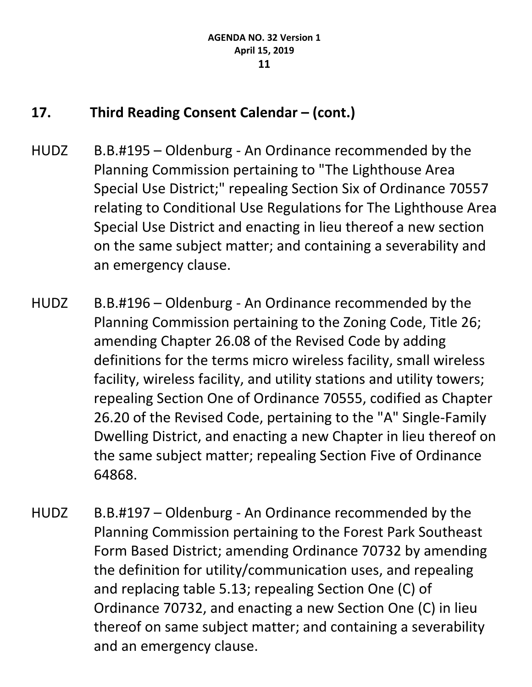- HUDZ B.B.#195 Oldenburg An Ordinance recommended by the Planning Commission pertaining to "The Lighthouse Area Special Use District;" repealing Section Six of Ordinance 70557 relating to Conditional Use Regulations for The Lighthouse Area Special Use District and enacting in lieu thereof a new section on the same subject matter; and containing a severability and an emergency clause.
- HUDZ B.B.#196 Oldenburg An Ordinance recommended by the Planning Commission pertaining to the Zoning Code, Title 26; amending Chapter 26.08 of the Revised Code by adding definitions for the terms micro wireless facility, small wireless facility, wireless facility, and utility stations and utility towers; repealing Section One of Ordinance 70555, codified as Chapter 26.20 of the Revised Code, pertaining to the "A" Single-Family Dwelling District, and enacting a new Chapter in lieu thereof on the same subject matter; repealing Section Five of Ordinance 64868.
- HUDZ B.B.#197 Oldenburg An Ordinance recommended by the Planning Commission pertaining to the Forest Park Southeast Form Based District; amending Ordinance 70732 by amending the definition for utility/communication uses, and repealing and replacing table 5.13; repealing Section One (C) of Ordinance 70732, and enacting a new Section One (C) in lieu thereof on same subject matter; and containing a severability and an emergency clause.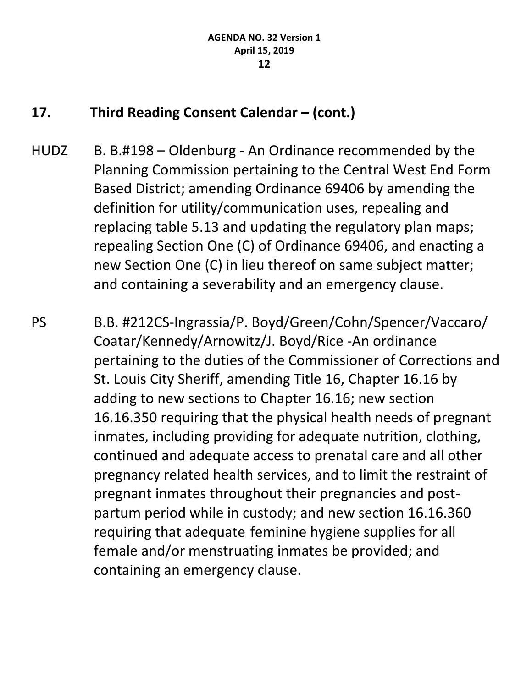HUDZ B. B.#198 – Oldenburg - An Ordinance recommended by the Planning Commission pertaining to the Central West End Form Based District; amending Ordinance 69406 by amending the definition for utility/communication uses, repealing and replacing table 5.13 and updating the regulatory plan maps; repealing Section One (C) of Ordinance 69406, and enacting a new Section One (C) in lieu thereof on same subject matter; and containing a severability and an emergency clause.

PS B.B. #212CS-Ingrassia/P. Boyd/Green/Cohn/Spencer/Vaccaro/ Coatar/Kennedy/Arnowitz/J. Boyd/Rice -An ordinance pertaining to the duties of the Commissioner of Corrections and St. Louis City Sheriff, amending Title 16, Chapter 16.16 by adding to new sections to Chapter 16.16; new section 16.16.350 requiring that the physical health needs of pregnant inmates, including providing for adequate nutrition, clothing, continued and adequate access to prenatal care and all other pregnancy related health services, and to limit the restraint of pregnant inmates throughout their pregnancies and postpartum period while in custody; and new section 16.16.360 requiring that adequate feminine hygiene supplies for all female and/or menstruating inmates be provided; and containing an emergency clause.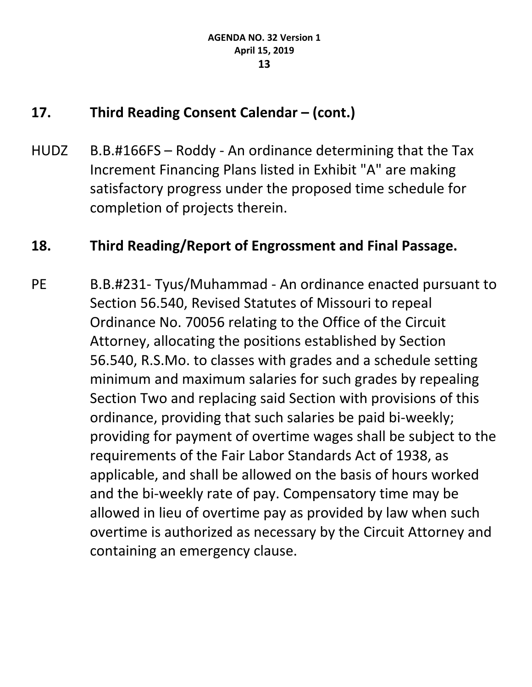HUDZ B.B.#166FS – Roddy - An ordinance determining that the Tax Increment Financing Plans listed in Exhibit "A" are making satisfactory progress under the proposed time schedule for completion of projects therein.

### **18. Third Reading/Report of Engrossment and Final Passage.**

PE B.B.#231- Tyus/Muhammad - An ordinance enacted pursuant to Section 56.540, Revised Statutes of Missouri to repeal Ordinance No. 70056 relating to the Office of the Circuit Attorney, allocating the positions established by Section 56.540, [R.S.Mo.](https://urldefense.proofpoint.com/v2/url?u=http-3A__R.S.Mo&d=DwMFaQ&c=jGUuvAdBXp_VqQ6t0yah2g&r=klzKtApNfCjuXf7LrMlPDWKXDZqvX1cRbgexjDXEqro&m=tH9Vaen2pewlfXn2a424L1Pq-ev2Du1QP9Cpv6AeQsw&s=r19C_Qb08iiaz9rxK7eQXFw-jYjU_NuFVdagZJkoTVU&e=) to classes with grades and a schedule setting minimum and maximum salaries for such grades by repealing Section Two and replacing said Section with provisions of this ordinance, providing that such salaries be paid bi-weekly; providing for payment of overtime wages shall be subject to the requirements of the Fair Labor Standards Act of 1938, as applicable, and shall be allowed on the basis of hours worked and the bi-weekly rate of pay. Compensatory time may be allowed in lieu of overtime pay as provided by law when such overtime is authorized as necessary by the Circuit Attorney and containing an emergency clause.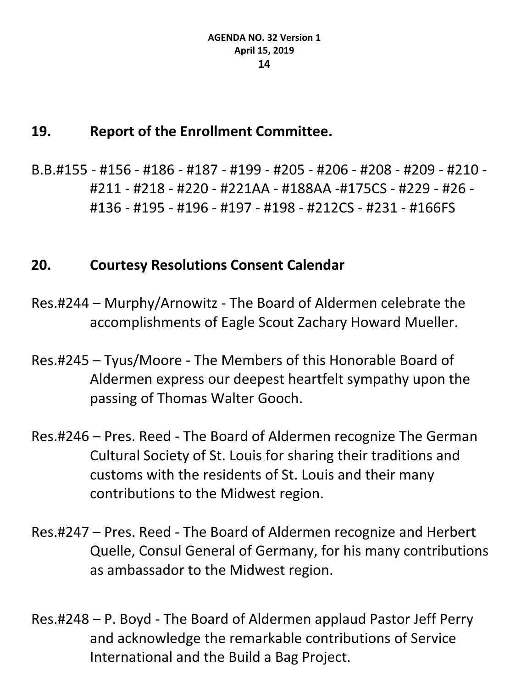#### **19. Report of the Enrollment Committee.**

B.B.#155 - #156 - #186 - #187 - #199 - #205 - #206 - #208 - #209 - #210 - #211 - #218 - #220 - #221AA - #188AA -#175CS - #229 - #26 - #136 - #195 - #196 - #197 - #198 - #212CS - #231 - #166FS

### **20. Courtesy Resolutions Consent Calendar**

- Res.#244 Murphy/Arnowitz The Board of Aldermen celebrate the accomplishments of Eagle Scout Zachary Howard Mueller.
- Res.#245 Tyus/Moore The Members of this Honorable Board of Aldermen express our deepest heartfelt sympathy upon the passing of Thomas Walter Gooch.
- Res.#246 Pres. Reed The Board of Aldermen recognize The German Cultural Society of St. Louis for sharing their traditions and customs with the residents of St. Louis and their many contributions to the Midwest region.
- Res.#247 Pres. Reed The Board of Aldermen recognize and Herbert Quelle, Consul General of Germany, for his many contributions as ambassador to the Midwest region.
- Res.#248 P. Boyd The Board of Aldermen applaud Pastor Jeff Perry and acknowledge the remarkable contributions of Service International and the Build a Bag Project.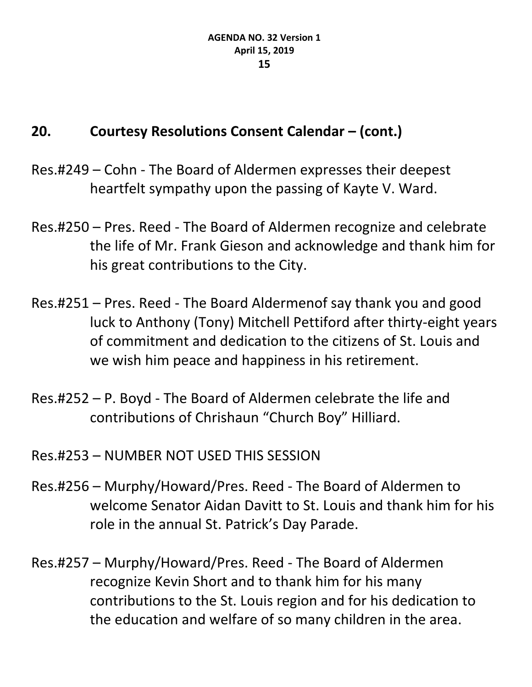- Res.#249 Cohn The Board of Aldermen expresses their deepest heartfelt sympathy upon the passing of Kayte V. Ward.
- Res.#250 Pres. Reed The Board of Aldermen recognize and celebrate the life of Mr. Frank Gieson and acknowledge and thank him for his great contributions to the City.
- Res.#251 Pres. Reed The Board Aldermenof say thank you and good luck to Anthony (Tony) Mitchell Pettiford after thirty-eight years of commitment and dedication to the citizens of St. Louis and we wish him peace and happiness in his retirement.
- Res.#252 P. Boyd The Board of Aldermen celebrate the life and contributions of Chrishaun "Church Boy" Hilliard.
- Res.#253 NUMBER NOT USED THIS SESSION
- Res.#256 Murphy/Howard/Pres. Reed The Board of Aldermen to welcome Senator Aidan Davitt to St. Louis and thank him for his role in the annual St. Patrick's Day Parade.
- Res.#257 Murphy/Howard/Pres. Reed The Board of Aldermen recognize Kevin Short and to thank him for his many contributions to the St. Louis region and for his dedication to the education and welfare of so many children in the area.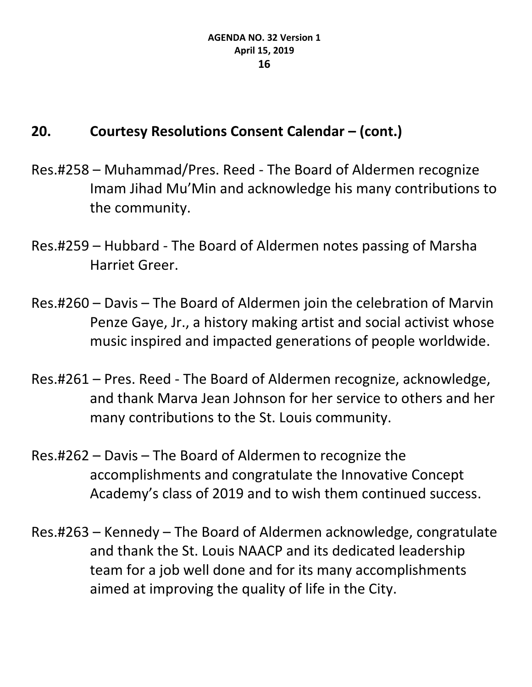- Res.#258 Muhammad/Pres. Reed The Board of Aldermen recognize Imam Jihad Mu'Min and acknowledge his many contributions to the community.
- Res.#259 Hubbard The Board of Aldermen notes passing of Marsha Harriet Greer.
- Res.#260 Davis The Board of Aldermen join the celebration of Marvin Penze Gaye, Jr., a history making artist and social activist whose music inspired and impacted generations of people worldwide.
- Res.#261 Pres. Reed The Board of Aldermen recognize, acknowledge, and thank Marva Jean Johnson for her service to others and her many contributions to the St. Louis community.
- Res.#262 Davis The Board of Aldermen to recognize the accomplishments and congratulate the Innovative Concept Academy's class of 2019 and to wish them continued success.
- Res.#263 Kennedy The Board of Aldermen acknowledge, congratulate and thank the St. Louis NAACP and its dedicated leadership team for a job well done and for its many accomplishments aimed at improving the quality of life in the City.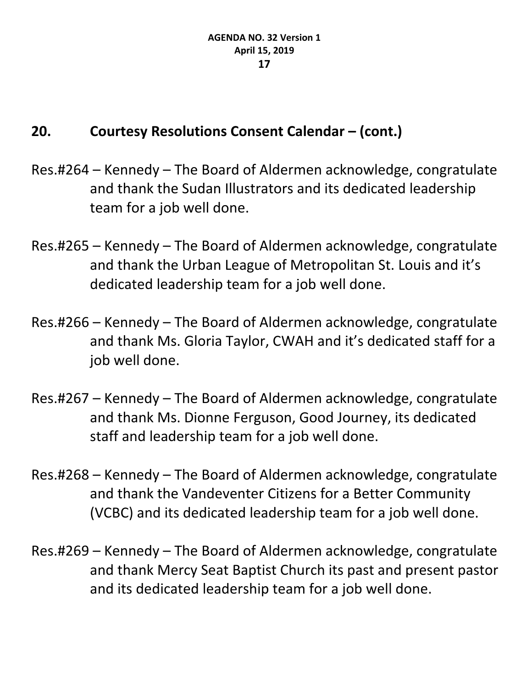- Res.#264 Kennedy The Board of Aldermen acknowledge, congratulate and thank the Sudan Illustrators and its dedicated leadership team for a job well done.
- Res.#265 Kennedy The Board of Aldermen acknowledge, congratulate and thank the Urban League of Metropolitan St. Louis and it's dedicated leadership team for a job well done.
- Res.#266 Kennedy The Board of Aldermen acknowledge, congratulate and thank Ms. Gloria Taylor, CWAH and it's dedicated staff for a job well done.
- Res.#267 Kennedy The Board of Aldermen acknowledge, congratulate and thank Ms. Dionne Ferguson, Good Journey, its dedicated staff and leadership team for a job well done.
- Res.#268 Kennedy The Board of Aldermen acknowledge, congratulate and thank the Vandeventer Citizens for a Better Community (VCBC) and its dedicated leadership team for a job well done.
- Res.#269 Kennedy The Board of Aldermen acknowledge, congratulate and thank Mercy Seat Baptist Church its past and present pastor and its dedicated leadership team for a job well done.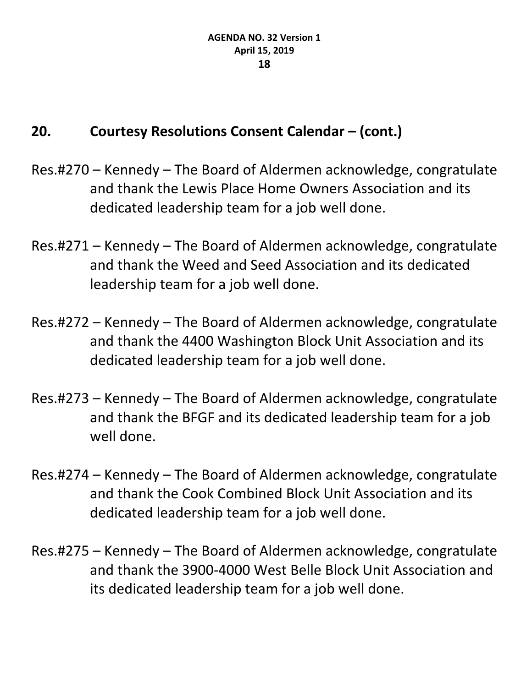- Res.#270 Kennedy The Board of Aldermen acknowledge, congratulate and thank the Lewis Place Home Owners Association and its dedicated leadership team for a job well done.
- Res.#271 Kennedy The Board of Aldermen acknowledge, congratulate and thank the Weed and Seed Association and its dedicated leadership team for a job well done.
- Res.#272 Kennedy The Board of Aldermen acknowledge, congratulate and thank the 4400 Washington Block Unit Association and its dedicated leadership team for a job well done.
- Res.#273 Kennedy The Board of Aldermen acknowledge, congratulate and thank the BFGF and its dedicated leadership team for a job well done.
- Res.#274 Kennedy The Board of Aldermen acknowledge, congratulate and thank the Cook Combined Block Unit Association and its dedicated leadership team for a job well done.
- Res.#275 Kennedy The Board of Aldermen acknowledge, congratulate and thank the 3900-4000 West Belle Block Unit Association and its dedicated leadership team for a job well done.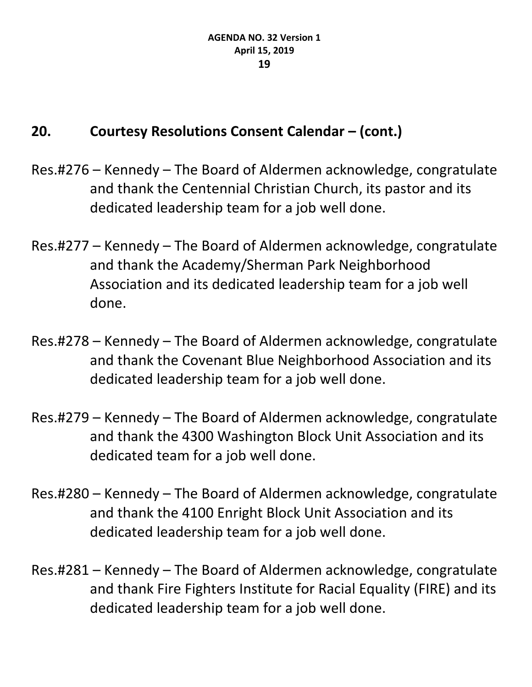- Res.#276 Kennedy The Board of Aldermen acknowledge, congratulate and thank the Centennial Christian Church, its pastor and its dedicated leadership team for a job well done.
- Res.#277 Kennedy The Board of Aldermen acknowledge, congratulate and thank the Academy/Sherman Park Neighborhood Association and its dedicated leadership team for a job well done.
- Res.#278 Kennedy The Board of Aldermen acknowledge, congratulate and thank the Covenant Blue Neighborhood Association and its dedicated leadership team for a job well done.
- Res.#279 Kennedy The Board of Aldermen acknowledge, congratulate and thank the 4300 Washington Block Unit Association and its dedicated team for a job well done.
- Res.#280 Kennedy The Board of Aldermen acknowledge, congratulate and thank the 4100 Enright Block Unit Association and its dedicated leadership team for a job well done.
- Res.#281 Kennedy The Board of Aldermen acknowledge, congratulate and thank Fire Fighters Institute for Racial Equality (FIRE) and its dedicated leadership team for a job well done.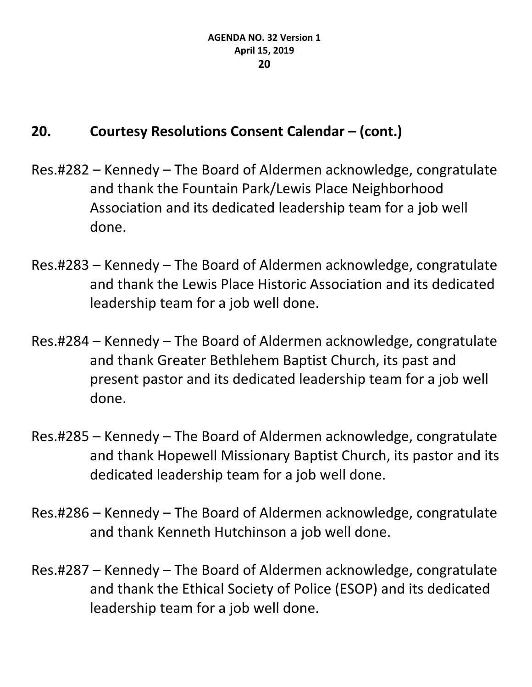- Res.#282 Kennedy The Board of Aldermen acknowledge, congratulate and thank the Fountain Park/Lewis Place Neighborhood Association and its dedicated leadership team for a job well done.
- Res.#283 Kennedy The Board of Aldermen acknowledge, congratulate and thank the Lewis Place Historic Association and its dedicated leadership team for a job well done.
- Res.#284 Kennedy The Board of Aldermen acknowledge, congratulate and thank Greater Bethlehem Baptist Church, its past and present pastor and its dedicated leadership team for a job well done.
- Res.#285 Kennedy The Board of Aldermen acknowledge, congratulate and thank Hopewell Missionary Baptist Church, its pastor and its dedicated leadership team for a job well done.
- Res.#286 Kennedy The Board of Aldermen acknowledge, congratulate and thank Kenneth Hutchinson a job well done.
- Res.#287 Kennedy The Board of Aldermen acknowledge, congratulate and thank the Ethical Society of Police (ESOP) and its dedicated leadership team for a job well done.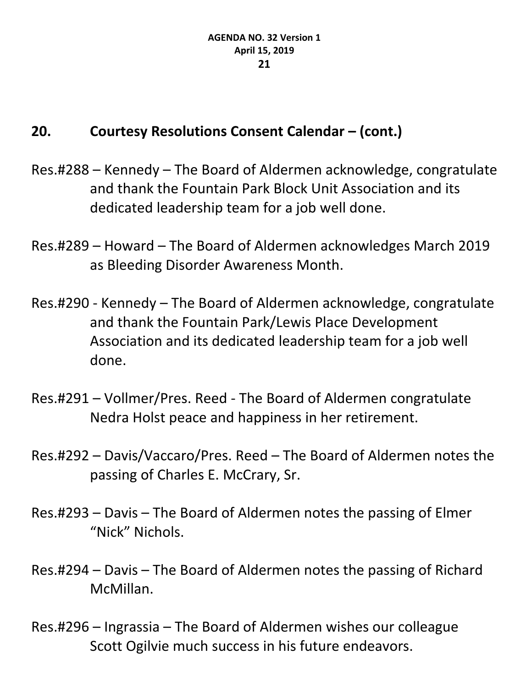- Res.#288 Kennedy The Board of Aldermen acknowledge, congratulate and thank the Fountain Park Block Unit Association and its dedicated leadership team for a job well done.
- Res.#289 Howard The Board of Aldermen acknowledges March 2019 as Bleeding Disorder Awareness Month.
- Res.#290 Kennedy The Board of Aldermen acknowledge, congratulate and thank the Fountain Park/Lewis Place Development Association and its dedicated leadership team for a job well done.
- Res.#291 Vollmer/Pres. Reed The Board of Aldermen congratulate Nedra Holst peace and happiness in her retirement.
- Res.#292 Davis/Vaccaro/Pres. Reed The Board of Aldermen notes the passing of Charles E. McCrary, Sr.
- Res.#293 Davis The Board of Aldermen notes the passing of Elmer "Nick" Nichols.
- Res.#294 Davis The Board of Aldermen notes the passing of Richard McMillan.
- Res.#296 Ingrassia The Board of Aldermen wishes our colleague Scott Ogilvie much success in his future endeavors.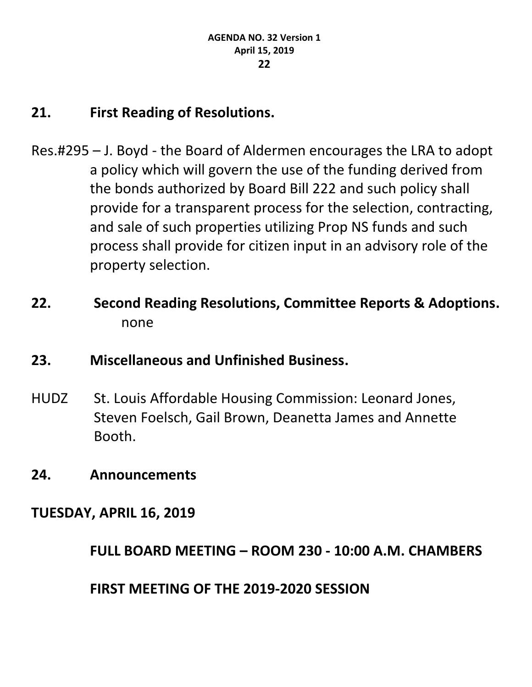### **21. First Reading of Resolutions.**

- Res.#295 J. Boyd the Board of Aldermen encourages the LRA to adopt a policy which will govern the use of the funding derived from the bonds authorized by Board Bill 222 and such policy shall provide for a transparent process for the selection, contracting, and sale of such properties utilizing Prop NS funds and such process shall provide for citizen input in an advisory role of the property selection.
- **22. Second Reading Resolutions, Committee Reports & Adoptions.** none
- **23. Miscellaneous and Unfinished Business.**
- HUDZ St. Louis Affordable Housing Commission: Leonard Jones, Steven Foelsch, Gail Brown, Deanetta James and Annette Booth.
- **24. Announcements**
- **TUESDAY, APRIL 16, 2019**

**FULL BOARD MEETING – ROOM 230 - 10:00 A.M. CHAMBERS**

**FIRST MEETING OF THE 2019-2020 SESSION**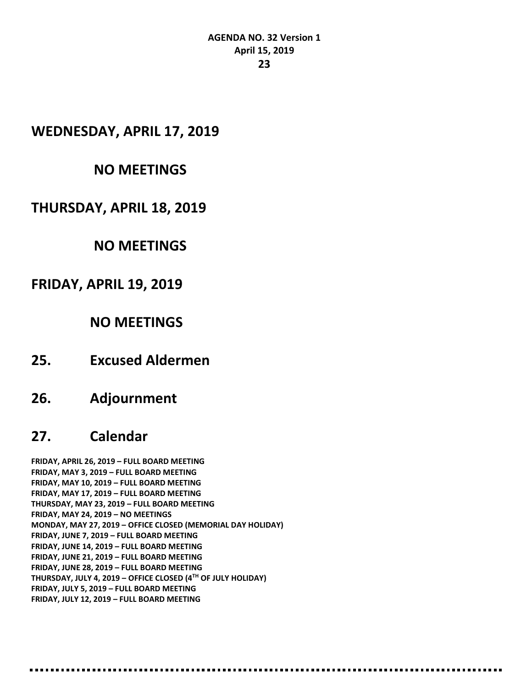#### **AGENDA NO. 32 Version 1 April 15, 2019 23**

#### **WEDNESDAY, APRIL 17, 2019**

#### **NO MEETINGS**

#### **THURSDAY, APRIL 18, 2019**

#### **NO MEETINGS**

#### **FRIDAY, APRIL 19, 2019**

#### **NO MEETINGS**

**25. Excused Aldermen**

#### **26. Adjournment**

#### **27. Calendar**

**FRIDAY, APRIL 26, 2019 – FULL BOARD MEETING FRIDAY, MAY 3, 2019 – FULL BOARD MEETING FRIDAY, MAY 10, 2019 – FULL BOARD MEETING FRIDAY, MAY 17, 2019 – FULL BOARD MEETING THURSDAY, MAY 23, 2019 – FULL BOARD MEETING FRIDAY, MAY 24, 2019 – NO MEETINGS MONDAY, MAY 27, 2019 – OFFICE CLOSED (MEMORIAL DAY HOLIDAY) FRIDAY, JUNE 7, 2019 – FULL BOARD MEETING FRIDAY, JUNE 14, 2019 – FULL BOARD MEETING FRIDAY, JUNE 21, 2019 – FULL BOARD MEETING FRIDAY, JUNE 28, 2019 – FULL BOARD MEETING THURSDAY, JULY 4, 2019 – OFFICE CLOSED (4TH OF JULY HOLIDAY) FRIDAY, JULY 5, 2019 – FULL BOARD MEETING FRIDAY, JULY 12, 2019 – FULL BOARD MEETING**